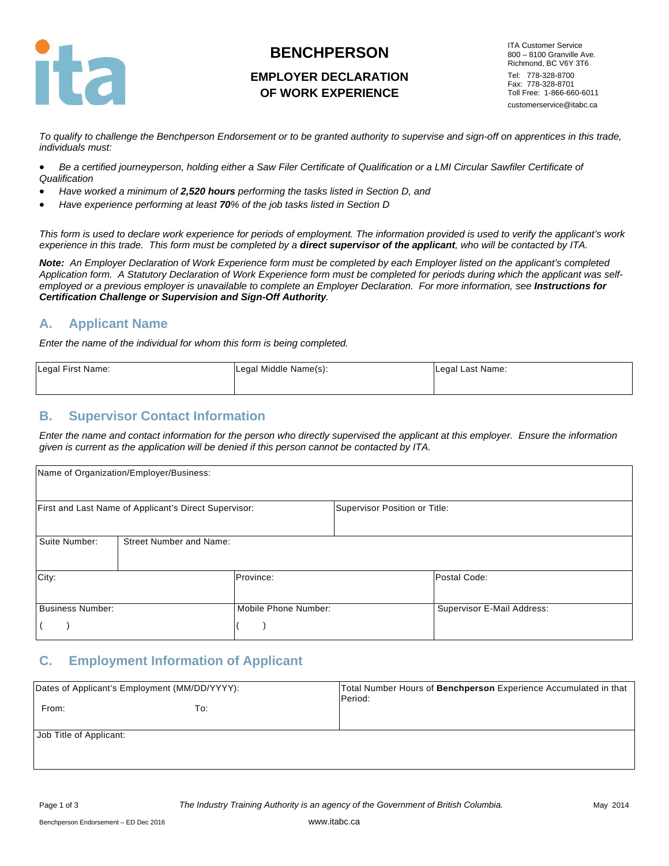

# **BENCHPERSON**

# **EMPLOYER DECLARATION OF WORK EXPERIENCE**

ITA Customer Service 800 – 8100 Granville Ave. Richmond, BC V6Y 3T6 Tel: 778-328-8700 Fax: 778-328-8701 Toll Free: 1-866-660-6011 customerservice@itabc.ca

*To qualify to challenge the Benchperson Endorsement or to be granted authority to supervise and sign-off on apprentices in this trade, individuals must:* 

- *Be a certified journeyperson, holding either a Saw Filer Certificate of Qualification or a LMI Circular Sawfiler Certificate of Qualification*
- *Have worked a minimum of 2,520 hours performing the tasks listed in Section D, and*
- *Have experience performing at least 70% of the job tasks listed in Section D*

*This form is used to declare work experience for periods of employment. The information provided is used to verify the applicant's work experience in this trade. This form must be completed by a direct supervisor of the applicant, who will be contacted by ITA.*

*Note: An Employer Declaration of Work Experience form must be completed by each Employer listed on the applicant's completed Application form. A Statutory Declaration of Work Experience form must be completed for periods during which the applicant was selfemployed or a previous employer is unavailable to complete an Employer Declaration. For more information, see Instructions for Certification Challenge or Supervision and Sign-Off Authority.* 

## **A. Applicant Name**

*Enter the name of the individual for whom this form is being completed.*

| Legal First Name: | Legal Middle Name(s): | Legal Last Name: |  |
|-------------------|-----------------------|------------------|--|
|                   |                       |                  |  |

#### **B. Supervisor Contact Information**

*Enter the name and contact information for the person who directly supervised the applicant at this employer. Ensure the information given is current as the application will be denied if this person cannot be contacted by ITA.*

|                         | Name of Organization/Employer/Business:               |                      |                               |                            |
|-------------------------|-------------------------------------------------------|----------------------|-------------------------------|----------------------------|
|                         | First and Last Name of Applicant's Direct Supervisor: |                      | Supervisor Position or Title: |                            |
| Suite Number:           | <b>Street Number and Name:</b>                        |                      |                               |                            |
| City:                   |                                                       | Province:            |                               | Postal Code:               |
| <b>Business Number:</b> |                                                       | Mobile Phone Number: |                               | Supervisor E-Mail Address: |

## **C. Employment Information of Applicant**

| Dates of Applicant's Employment (MM/DD/YYYY): |     | Total Number Hours of Benchperson Experience Accumulated in that<br>Period: |
|-----------------------------------------------|-----|-----------------------------------------------------------------------------|
| From:                                         | To: |                                                                             |
| Job Title of Applicant:                       |     |                                                                             |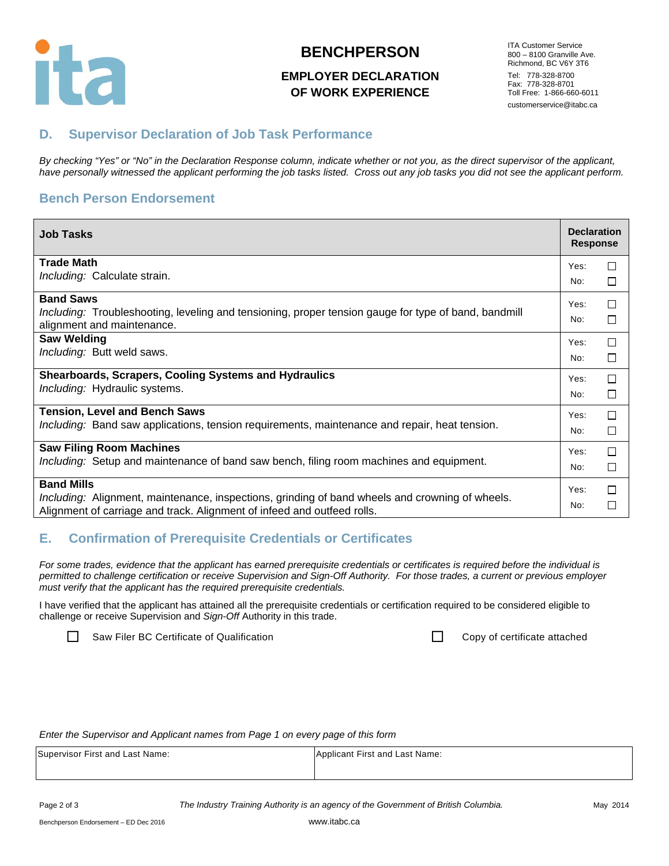

#### **BENCHPERSON**

## **EMPLOYER DECLARATION OF WORK EXPERIENCE**

ITA Customer Service 800 – 8100 Granville Ave. Richmond, BC V6Y 3T6 Tel: 778-328-8700 Fax: 778-328-8701 Toll Free: 1-866-660-6011 customerservice@itabc.ca

# **D. Supervisor Declaration of Job Task Performance**

*By checking "Yes" or "No" in the Declaration Response column, indicate whether or not you, as the direct supervisor of the applicant, have personally witnessed the applicant performing the job tasks listed. Cross out any job tasks you did not see the applicant perform.*

# **Bench Person Endorsement**

| <b>Job Tasks</b>                                                                                     | <b>Declaration</b><br><b>Response</b> |        |
|------------------------------------------------------------------------------------------------------|---------------------------------------|--------|
| <b>Trade Math</b>                                                                                    | Yes:                                  | П      |
| Including: Calculate strain.                                                                         | No:                                   | □      |
| <b>Band Saws</b>                                                                                     | Yes:                                  | □      |
| Including: Troubleshooting, leveling and tensioning, proper tension gauge for type of band, bandmill | No:                                   | $\Box$ |
| alignment and maintenance.<br><b>Saw Welding</b>                                                     |                                       |        |
|                                                                                                      | Yes:                                  | П      |
| Including: Butt weld saws.                                                                           | No:                                   | □      |
| <b>Shearboards, Scrapers, Cooling Systems and Hydraulics</b>                                         | Yes:                                  | П      |
| Including: Hydraulic systems.                                                                        | No:                                   | □      |
| <b>Tension, Level and Bench Saws</b>                                                                 | Yes:                                  | П      |
| <i>Including:</i> Band saw applications, tension requirements, maintenance and repair, heat tension. | No:                                   | $\Box$ |
| <b>Saw Filing Room Machines</b>                                                                      | Yes:                                  | $\Box$ |
| Including: Setup and maintenance of band saw bench, filing room machines and equipment.              | No:                                   | $\Box$ |
| <b>Band Mills</b>                                                                                    | Yes:                                  | $\Box$ |
| Including: Alignment, maintenance, inspections, grinding of band wheels and crowning of wheels.      |                                       |        |
| Alignment of carriage and track. Alignment of infeed and outfeed rolls.                              | No:                                   | □      |

## **E. Confirmation of Prerequisite Credentials or Certificates**

*For some trades, evidence that the applicant has earned prerequisite credentials or certificates is required before the individual is permitted to challenge certification or receive Supervision and Sign-Off Authority. For those trades, a current or previous employer must verify that the applicant has the required prerequisite credentials.* 

I have verified that the applicant has attained all the prerequisite credentials or certification required to be considered eligible to challenge or receive Supervision and *Sign-Off* Authority in this trade.

Saw Filer BC Certificate of Qualification **Copy Copy** 

|  | Copy of certificate attached |  |
|--|------------------------------|--|
|  |                              |  |

*Enter the Supervisor and Applicant names from Page 1 on every page of this form*

| Supervisor First and Last Name: | Applicant First and Last Name: |
|---------------------------------|--------------------------------|
|                                 |                                |